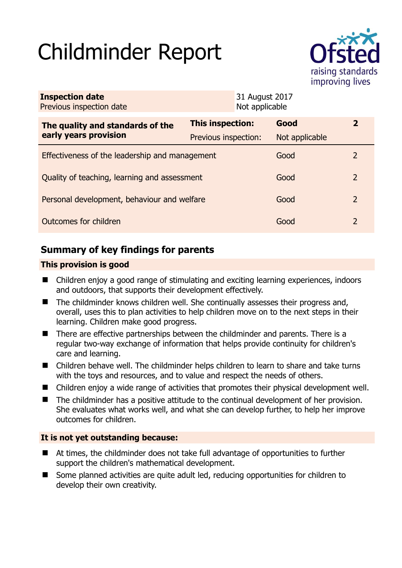# Childminder Report



| <b>Inspection date</b><br>Previous inspection date        |                      | 31 August 2017<br>Not applicable |                |               |
|-----------------------------------------------------------|----------------------|----------------------------------|----------------|---------------|
| The quality and standards of the<br>early years provision | This inspection:     |                                  | Good           | $\mathbf{2}$  |
|                                                           | Previous inspection: |                                  | Not applicable |               |
| Effectiveness of the leadership and management            |                      |                                  | Good           | $\mathcal{L}$ |
| Quality of teaching, learning and assessment              |                      |                                  | Good           | 2             |
| Personal development, behaviour and welfare               |                      |                                  | Good           | 2             |
| Outcomes for children                                     |                      |                                  | Good           | 2             |

# **Summary of key findings for parents**

## **This provision is good**

- Children enjoy a good range of stimulating and exciting learning experiences, indoors and outdoors, that supports their development effectively.
- The childminder knows children well. She continually assesses their progress and, overall, uses this to plan activities to help children move on to the next steps in their learning. Children make good progress.
- There are effective partnerships between the childminder and parents. There is a regular two-way exchange of information that helps provide continuity for children's care and learning.
- Children behave well. The childminder helps children to learn to share and take turns with the toys and resources, and to value and respect the needs of others.
- Children enjoy a wide range of activities that promotes their physical development well.
- The childminder has a positive attitude to the continual development of her provision. She evaluates what works well, and what she can develop further, to help her improve outcomes for children.

## **It is not yet outstanding because:**

- At times, the childminder does not take full advantage of opportunities to further support the children's mathematical development.
- Some planned activities are quite adult led, reducing opportunities for children to develop their own creativity.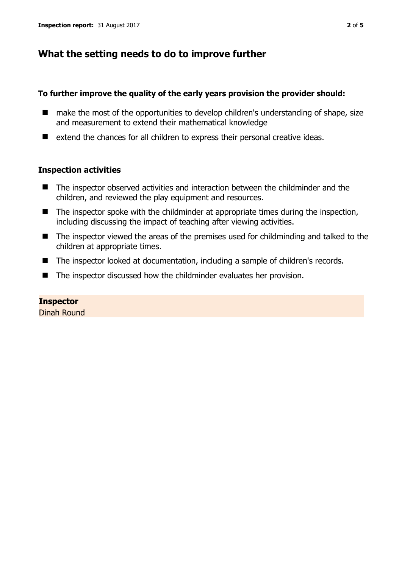# **What the setting needs to do to improve further**

#### **To further improve the quality of the early years provision the provider should:**

- make the most of the opportunities to develop children's understanding of shape, size and measurement to extend their mathematical knowledge
- extend the chances for all children to express their personal creative ideas.

## **Inspection activities**

- The inspector observed activities and interaction between the childminder and the children, and reviewed the play equipment and resources.
- $\blacksquare$  The inspector spoke with the childminder at appropriate times during the inspection, including discussing the impact of teaching after viewing activities.
- The inspector viewed the areas of the premises used for childminding and talked to the children at appropriate times.
- The inspector looked at documentation, including a sample of children's records.
- The inspector discussed how the childminder evaluates her provision.

## **Inspector**

Dinah Round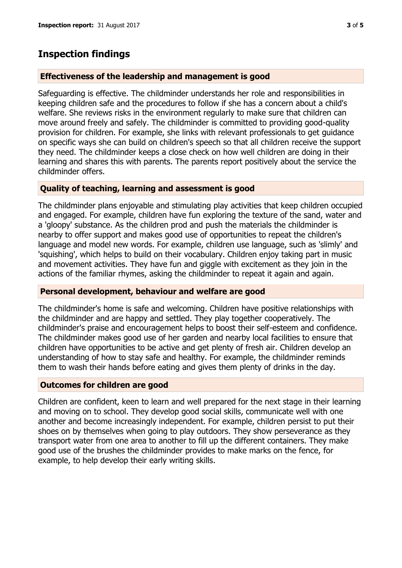# **Inspection findings**

## **Effectiveness of the leadership and management is good**

Safeguarding is effective. The childminder understands her role and responsibilities in keeping children safe and the procedures to follow if she has a concern about a child's welfare. She reviews risks in the environment regularly to make sure that children can move around freely and safely. The childminder is committed to providing good-quality provision for children. For example, she links with relevant professionals to get guidance on specific ways she can build on children's speech so that all children receive the support they need. The childminder keeps a close check on how well children are doing in their learning and shares this with parents. The parents report positively about the service the childminder offers.

## **Quality of teaching, learning and assessment is good**

The childminder plans enjoyable and stimulating play activities that keep children occupied and engaged. For example, children have fun exploring the texture of the sand, water and a 'gloopy' substance. As the children prod and push the materials the childminder is nearby to offer support and makes good use of opportunities to repeat the children's language and model new words. For example, children use language, such as 'slimly' and 'squishing', which helps to build on their vocabulary. Children enjoy taking part in music and movement activities. They have fun and giggle with excitement as they join in the actions of the familiar rhymes, asking the childminder to repeat it again and again.

## **Personal development, behaviour and welfare are good**

The childminder's home is safe and welcoming. Children have positive relationships with the childminder and are happy and settled. They play together cooperatively. The childminder's praise and encouragement helps to boost their self-esteem and confidence. The childminder makes good use of her garden and nearby local facilities to ensure that children have opportunities to be active and get plenty of fresh air. Children develop an understanding of how to stay safe and healthy. For example, the childminder reminds them to wash their hands before eating and gives them plenty of drinks in the day.

## **Outcomes for children are good**

Children are confident, keen to learn and well prepared for the next stage in their learning and moving on to school. They develop good social skills, communicate well with one another and become increasingly independent. For example, children persist to put their shoes on by themselves when going to play outdoors. They show perseverance as they transport water from one area to another to fill up the different containers. They make good use of the brushes the childminder provides to make marks on the fence, for example, to help develop their early writing skills.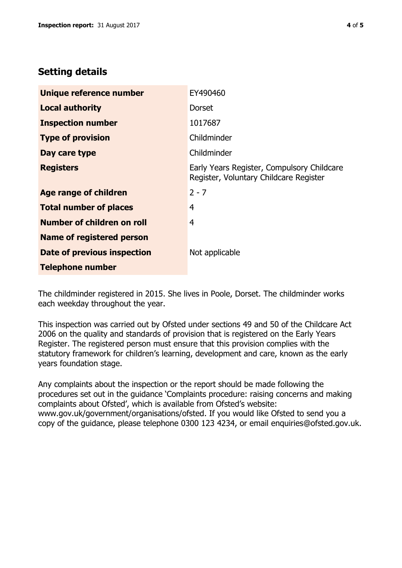# **Setting details**

| Unique reference number           | EY490460                                                                             |  |
|-----------------------------------|--------------------------------------------------------------------------------------|--|
| <b>Local authority</b>            | Dorset                                                                               |  |
| <b>Inspection number</b>          | 1017687                                                                              |  |
| <b>Type of provision</b>          | Childminder                                                                          |  |
| Day care type                     | Childminder                                                                          |  |
| <b>Registers</b>                  | Early Years Register, Compulsory Childcare<br>Register, Voluntary Childcare Register |  |
| Age range of children             | $2 - 7$                                                                              |  |
| <b>Total number of places</b>     | 4                                                                                    |  |
| <b>Number of children on roll</b> | 4                                                                                    |  |
| Name of registered person         |                                                                                      |  |
| Date of previous inspection       | Not applicable                                                                       |  |
| <b>Telephone number</b>           |                                                                                      |  |

The childminder registered in 2015. She lives in Poole, Dorset. The childminder works each weekday throughout the year.

This inspection was carried out by Ofsted under sections 49 and 50 of the Childcare Act 2006 on the quality and standards of provision that is registered on the Early Years Register. The registered person must ensure that this provision complies with the statutory framework for children's learning, development and care, known as the early years foundation stage.

Any complaints about the inspection or the report should be made following the procedures set out in the guidance 'Complaints procedure: raising concerns and making complaints about Ofsted', which is available from Ofsted's website: www.gov.uk/government/organisations/ofsted. If you would like Ofsted to send you a copy of the guidance, please telephone 0300 123 4234, or email enquiries@ofsted.gov.uk.